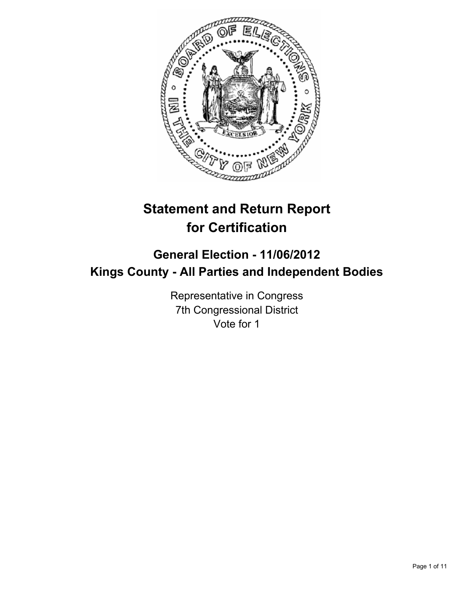

# **Statement and Return Report for Certification**

# **General Election - 11/06/2012 Kings County - All Parties and Independent Bodies**

Representative in Congress 7th Congressional District Vote for 1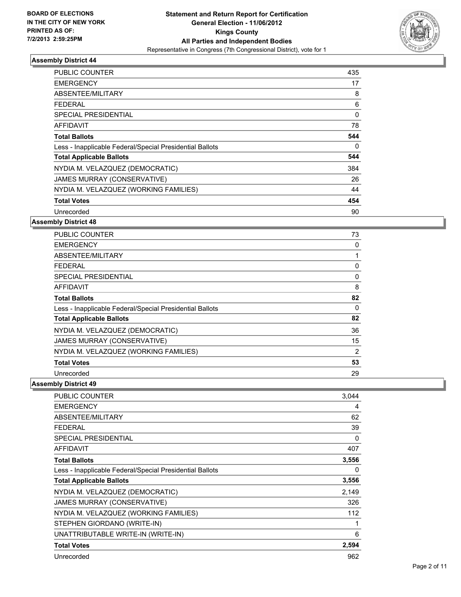

| PUBLIC COUNTER                                           | 435 |
|----------------------------------------------------------|-----|
| <b>EMERGENCY</b>                                         | 17  |
| ABSENTEE/MILITARY                                        | 8   |
| FEDERAL                                                  | 6   |
| SPECIAL PRESIDENTIAL                                     | 0   |
| AFFIDAVIT                                                | 78  |
| <b>Total Ballots</b>                                     | 544 |
| Less - Inapplicable Federal/Special Presidential Ballots | 0   |
| <b>Total Applicable Ballots</b>                          | 544 |
| NYDIA M. VELAZQUEZ (DEMOCRATIC)                          | 384 |
| JAMES MURRAY (CONSERVATIVE)                              | 26  |
| NYDIA M. VELAZQUEZ (WORKING FAMILIES)                    | 44  |
| <b>Total Votes</b>                                       | 454 |
| Unrecorded                                               | 90  |

#### **Assembly District 48**

| <b>PUBLIC COUNTER</b>                                    | 73 |
|----------------------------------------------------------|----|
| <b>EMERGENCY</b>                                         | 0  |
| ABSENTEE/MILITARY                                        |    |
| <b>FEDERAL</b>                                           | 0  |
| SPECIAL PRESIDENTIAL                                     | 0  |
| <b>AFFIDAVIT</b>                                         | 8  |
| <b>Total Ballots</b>                                     | 82 |
| Less - Inapplicable Federal/Special Presidential Ballots | 0  |
| <b>Total Applicable Ballots</b>                          | 82 |
| NYDIA M. VELAZQUEZ (DEMOCRATIC)                          | 36 |
| JAMES MURRAY (CONSERVATIVE)                              | 15 |
| NYDIA M. VELAZQUEZ (WORKING FAMILIES)                    | 2  |
| <b>Total Votes</b>                                       | 53 |
| Unrecorded                                               | 29 |

| <b>PUBLIC COUNTER</b>                                    | 3,044 |
|----------------------------------------------------------|-------|
| <b>EMERGENCY</b>                                         | 4     |
| ABSENTEE/MILITARY                                        | 62    |
| <b>FEDERAL</b>                                           | 39    |
| <b>SPECIAL PRESIDENTIAL</b>                              | 0     |
| <b>AFFIDAVIT</b>                                         | 407   |
| <b>Total Ballots</b>                                     | 3,556 |
| Less - Inapplicable Federal/Special Presidential Ballots | 0     |
| <b>Total Applicable Ballots</b>                          | 3,556 |
| NYDIA M. VELAZQUEZ (DEMOCRATIC)                          | 2,149 |
| JAMES MURRAY (CONSERVATIVE)                              | 326   |
| NYDIA M. VELAZQUEZ (WORKING FAMILIES)                    | 112   |
| STEPHEN GIORDANO (WRITE-IN)                              | 1     |
| UNATTRIBUTABLE WRITE-IN (WRITE-IN)                       | 6     |
| <b>Total Votes</b>                                       | 2,594 |
| Unrecorded                                               | 962   |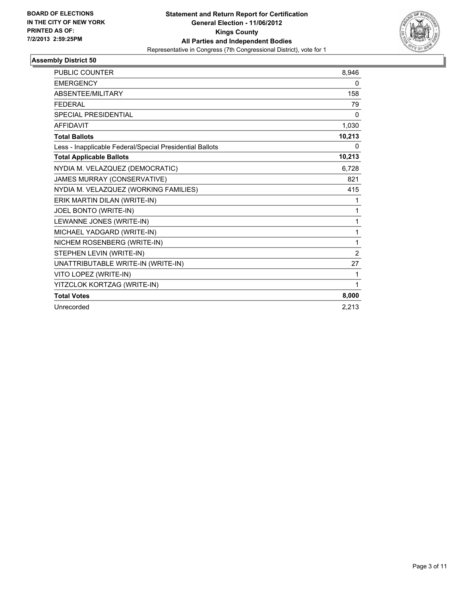

| <b>PUBLIC COUNTER</b>                                    | 8.946          |
|----------------------------------------------------------|----------------|
| <b>EMERGENCY</b>                                         | 0              |
| ABSENTEE/MILITARY                                        | 158            |
| <b>FEDERAL</b>                                           | 79             |
| <b>SPECIAL PRESIDENTIAL</b>                              | 0              |
| <b>AFFIDAVIT</b>                                         | 1,030          |
| <b>Total Ballots</b>                                     | 10,213         |
| Less - Inapplicable Federal/Special Presidential Ballots | 0              |
| <b>Total Applicable Ballots</b>                          | 10,213         |
| NYDIA M. VELAZQUEZ (DEMOCRATIC)                          | 6,728          |
| JAMES MURRAY (CONSERVATIVE)                              | 821            |
| NYDIA M. VELAZQUEZ (WORKING FAMILIES)                    | 415            |
| ERIK MARTIN DILAN (WRITE-IN)                             | 1              |
| JOEL BONTO (WRITE-IN)                                    | 1              |
| LEWANNE JONES (WRITE-IN)                                 | 1              |
| MICHAEL YADGARD (WRITE-IN)                               | 1              |
| NICHEM ROSENBERG (WRITE-IN)                              | 1              |
| STEPHEN LEVIN (WRITE-IN)                                 | $\overline{2}$ |
| UNATTRIBUTABLE WRITE-IN (WRITE-IN)                       | 27             |
| VITO LOPEZ (WRITE-IN)                                    | 1              |
| YITZCLOK KORTZAG (WRITE-IN)                              | 1              |
| <b>Total Votes</b>                                       | 8,000          |
| Unrecorded                                               | 2,213          |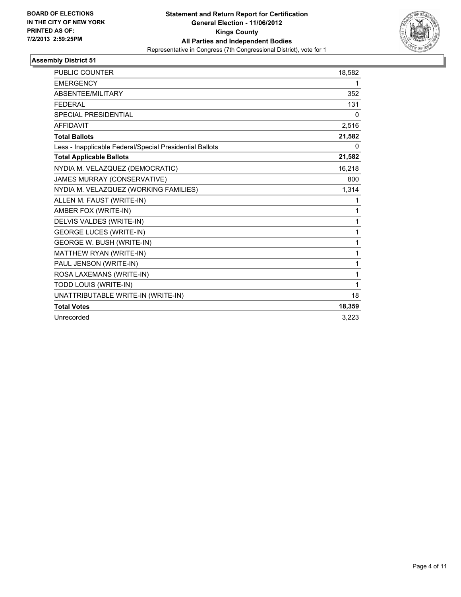

| <b>PUBLIC COUNTER</b>                                    | 18,582 |
|----------------------------------------------------------|--------|
| <b>EMERGENCY</b>                                         | 1      |
| ABSENTEE/MILITARY                                        | 352    |
| <b>FEDERAL</b>                                           | 131    |
| SPECIAL PRESIDENTIAL                                     | 0      |
| <b>AFFIDAVIT</b>                                         | 2,516  |
| <b>Total Ballots</b>                                     | 21,582 |
| Less - Inapplicable Federal/Special Presidential Ballots | 0      |
| <b>Total Applicable Ballots</b>                          | 21,582 |
| NYDIA M. VELAZQUEZ (DEMOCRATIC)                          | 16,218 |
| JAMES MURRAY (CONSERVATIVE)                              | 800    |
| NYDIA M. VELAZQUEZ (WORKING FAMILIES)                    | 1,314  |
| ALLEN M. FAUST (WRITE-IN)                                | 1      |
| AMBER FOX (WRITE-IN)                                     | 1      |
| DELVIS VALDES (WRITE-IN)                                 | 1      |
| <b>GEORGE LUCES (WRITE-IN)</b>                           | 1      |
| <b>GEORGE W. BUSH (WRITE-IN)</b>                         | 1      |
| MATTHEW RYAN (WRITE-IN)                                  | 1      |
| PAUL JENSON (WRITE-IN)                                   | 1      |
| ROSA LAXEMANS (WRITE-IN)                                 | 1      |
| TODD LOUIS (WRITE-IN)                                    | 1      |
| UNATTRIBUTABLE WRITE-IN (WRITE-IN)                       | 18     |
| <b>Total Votes</b>                                       | 18,359 |
| Unrecorded                                               | 3.223  |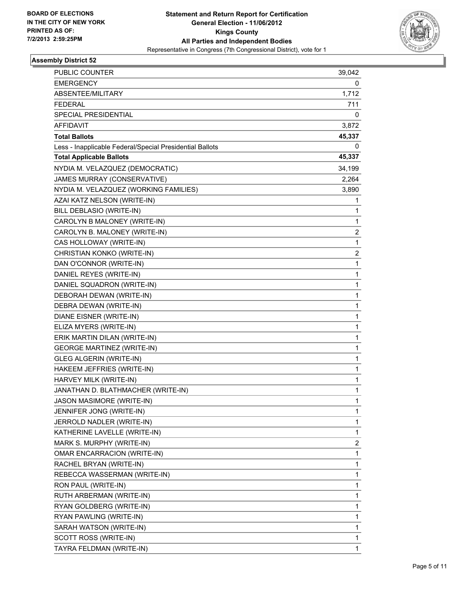

| PUBLIC COUNTER                                           | 39,042 |
|----------------------------------------------------------|--------|
| <b>EMERGENCY</b>                                         | 0      |
| ABSENTEE/MILITARY                                        | 1,712  |
| <b>FEDERAL</b>                                           | 711    |
| SPECIAL PRESIDENTIAL                                     | 0      |
| AFFIDAVIT                                                | 3,872  |
| <b>Total Ballots</b>                                     | 45,337 |
| Less - Inapplicable Federal/Special Presidential Ballots | 0      |
| <b>Total Applicable Ballots</b>                          | 45,337 |
| NYDIA M. VELAZQUEZ (DEMOCRATIC)                          | 34,199 |
| <b>JAMES MURRAY (CONSERVATIVE)</b>                       | 2,264  |
| NYDIA M. VELAZQUEZ (WORKING FAMILIES)                    | 3,890  |
| AZAI KATZ NELSON (WRITE-IN)                              | 1      |
| BILL DEBLASIO (WRITE-IN)                                 | 1      |
| CAROLYN B MALONEY (WRITE-IN)                             | 1      |
| CAROLYN B. MALONEY (WRITE-IN)                            | 2      |
| CAS HOLLOWAY (WRITE-IN)                                  | 1      |
| CHRISTIAN KONKO (WRITE-IN)                               | 2      |
| DAN O'CONNOR (WRITE-IN)                                  | 1      |
| DANIEL REYES (WRITE-IN)                                  | 1      |
| DANIEL SQUADRON (WRITE-IN)                               | 1      |
| DEBORAH DEWAN (WRITE-IN)                                 | 1      |
| DEBRA DEWAN (WRITE-IN)                                   | 1      |
| DIANE EISNER (WRITE-IN)                                  | 1      |
| ELIZA MYERS (WRITE-IN)                                   | 1      |
| ERIK MARTIN DILAN (WRITE-IN)                             | 1      |
| <b>GEORGE MARTINEZ (WRITE-IN)</b>                        | 1      |
| GLEG ALGERIN (WRITE-IN)                                  | 1      |
| HAKEEM JEFFRIES (WRITE-IN)                               | 1      |
| HARVEY MILK (WRITE-IN)                                   | 1      |
| JANATHAN D. BLATHMACHER (WRITE-IN)                       | 1      |
| <b>JASON MASIMORE (WRITE-IN)</b>                         | 1      |
| JENNIFER JONG (WRITE-IN)                                 | 1      |
| JERROLD NADLER (WRITE-IN)                                | 1      |
| KATHERINE LAVELLE (WRITE-IN)                             | 1      |
| MARK S. MURPHY (WRITE-IN)                                | 2      |
| OMAR ENCARRACION (WRITE-IN)                              | 1      |
| RACHEL BRYAN (WRITE-IN)                                  | 1      |
| REBECCA WASSERMAN (WRITE-IN)                             | 1      |
| RON PAUL (WRITE-IN)                                      | 1      |
| RUTH ARBERMAN (WRITE-IN)                                 | 1      |
| RYAN GOLDBERG (WRITE-IN)                                 | 1      |
| RYAN PAWLING (WRITE-IN)                                  | 1      |
| SARAH WATSON (WRITE-IN)                                  | 1      |
| SCOTT ROSS (WRITE-IN)                                    | 1      |
| TAYRA FELDMAN (WRITE-IN)                                 | 1      |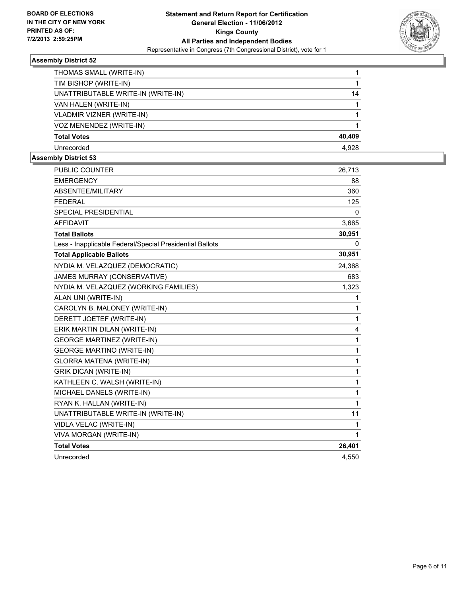

| THOMAS SMALL (WRITE-IN)            |        |
|------------------------------------|--------|
| TIM BISHOP (WRITE-IN)              |        |
| UNATTRIBUTABLE WRITE-IN (WRITE-IN) | 14     |
| VAN HALEN (WRITE-IN)               |        |
| VLADMIR VIZNER (WRITE-IN)          |        |
| VOZ MENENDEZ (WRITE-IN)            |        |
| <b>Total Votes</b>                 | 40,409 |
| Unrecorded                         | 4.928  |

| <b>PUBLIC COUNTER</b>                                    | 26,713       |
|----------------------------------------------------------|--------------|
| <b>EMERGENCY</b>                                         | 88           |
| ABSENTEE/MILITARY                                        | 360          |
| <b>FEDERAL</b>                                           | 125          |
| SPECIAL PRESIDENTIAL                                     | 0            |
| <b>AFFIDAVIT</b>                                         | 3,665        |
| <b>Total Ballots</b>                                     | 30,951       |
| Less - Inapplicable Federal/Special Presidential Ballots | 0            |
| <b>Total Applicable Ballots</b>                          | 30,951       |
| NYDIA M. VELAZQUEZ (DEMOCRATIC)                          | 24,368       |
| JAMES MURRAY (CONSERVATIVE)                              | 683          |
| NYDIA M. VELAZQUEZ (WORKING FAMILIES)                    | 1,323        |
| ALAN UNI (WRITE-IN)                                      | 1            |
| CAROLYN B. MALONEY (WRITE-IN)                            | 1            |
| DERETT JOETEF (WRITE-IN)                                 | 1            |
| ERIK MARTIN DILAN (WRITE-IN)                             | 4            |
| <b>GEORGE MARTINEZ (WRITE-IN)</b>                        | $\mathbf{1}$ |
| <b>GEORGE MARTINO (WRITE-IN)</b>                         | 1            |
| <b>GLORRA MATENA (WRITE-IN)</b>                          | 1            |
| <b>GRIK DICAN (WRITE-IN)</b>                             | 1            |
| KATHLEEN C. WALSH (WRITE-IN)                             | $\mathbf{1}$ |
| MICHAEL DANELS (WRITE-IN)                                | 1            |
| RYAN K. HALLAN (WRITE-IN)                                | 1            |
| UNATTRIBUTABLE WRITE-IN (WRITE-IN)                       | 11           |
| VIDLA VELAC (WRITE-IN)                                   | 1            |
| VIVA MORGAN (WRITE-IN)                                   | $\mathbf{1}$ |
| <b>Total Votes</b>                                       | 26,401       |
| Unrecorded                                               | 4,550        |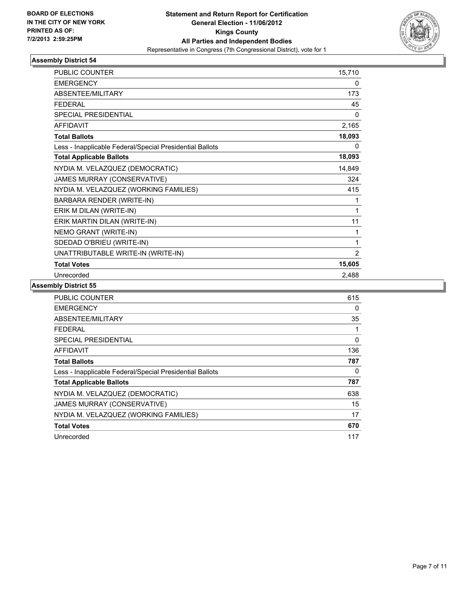

| PUBLIC COUNTER                                           | 15,710         |
|----------------------------------------------------------|----------------|
| <b>EMERGENCY</b>                                         | 0              |
| <b>ABSENTEE/MILITARY</b>                                 | 173            |
| <b>FEDERAL</b>                                           | 45             |
| SPECIAL PRESIDENTIAL                                     | 0              |
| <b>AFFIDAVIT</b>                                         | 2,165          |
| <b>Total Ballots</b>                                     | 18,093         |
| Less - Inapplicable Federal/Special Presidential Ballots | 0              |
| <b>Total Applicable Ballots</b>                          | 18,093         |
| NYDIA M. VELAZQUEZ (DEMOCRATIC)                          | 14,849         |
| JAMES MURRAY (CONSERVATIVE)                              | 324            |
| NYDIA M. VELAZQUEZ (WORKING FAMILIES)                    | 415            |
| BARBARA RENDER (WRITE-IN)                                | 1              |
| ERIK M DILAN (WRITE-IN)                                  | 1              |
| ERIK MARTIN DILAN (WRITE-IN)                             | 11             |
| NEMO GRANT (WRITE-IN)                                    | 1              |
| SDEDAD O'BRIEU (WRITE-IN)                                | 1              |
| UNATTRIBUTABLE WRITE-IN (WRITE-IN)                       | $\overline{2}$ |
| <b>Total Votes</b>                                       | 15,605         |
| Unrecorded                                               | 2,488          |

| <b>PUBLIC COUNTER</b>                                    | 615 |
|----------------------------------------------------------|-----|
| <b>EMERGENCY</b>                                         | 0   |
| ABSENTEE/MILITARY                                        | 35  |
| FEDERAL                                                  |     |
| SPECIAL PRESIDENTIAL                                     | 0   |
| AFFIDAVIT                                                | 136 |
| <b>Total Ballots</b>                                     | 787 |
| Less - Inapplicable Federal/Special Presidential Ballots | 0   |
| <b>Total Applicable Ballots</b>                          | 787 |
| NYDIA M. VELAZQUEZ (DEMOCRATIC)                          | 638 |
| JAMES MURRAY (CONSERVATIVE)                              | 15  |
| NYDIA M. VELAZQUEZ (WORKING FAMILIES)                    | 17  |
| <b>Total Votes</b>                                       | 670 |
| Unrecorded                                               | 117 |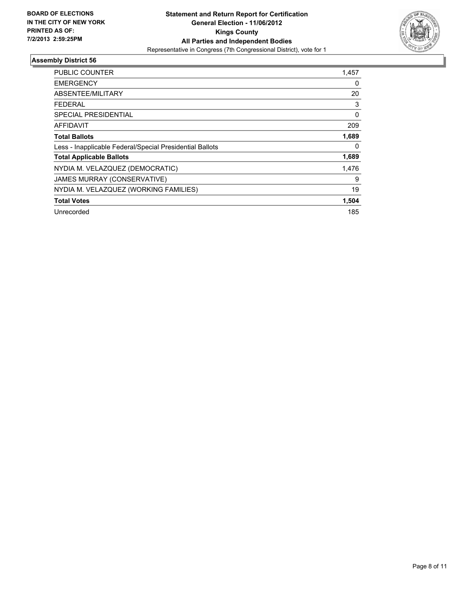

| <b>PUBLIC COUNTER</b>                                    | 1,457 |
|----------------------------------------------------------|-------|
| <b>EMERGENCY</b>                                         | 0     |
| ABSENTEE/MILITARY                                        | 20    |
| FEDERAL                                                  | 3     |
| SPECIAL PRESIDENTIAL                                     | 0     |
| AFFIDAVIT                                                | 209   |
| <b>Total Ballots</b>                                     | 1,689 |
| Less - Inapplicable Federal/Special Presidential Ballots | 0     |
| <b>Total Applicable Ballots</b>                          | 1,689 |
| NYDIA M. VELAZQUEZ (DEMOCRATIC)                          | 1,476 |
| JAMES MURRAY (CONSERVATIVE)                              | 9     |
| NYDIA M. VELAZQUEZ (WORKING FAMILIES)                    | 19    |
| <b>Total Votes</b>                                       | 1,504 |
| Unrecorded                                               | 185   |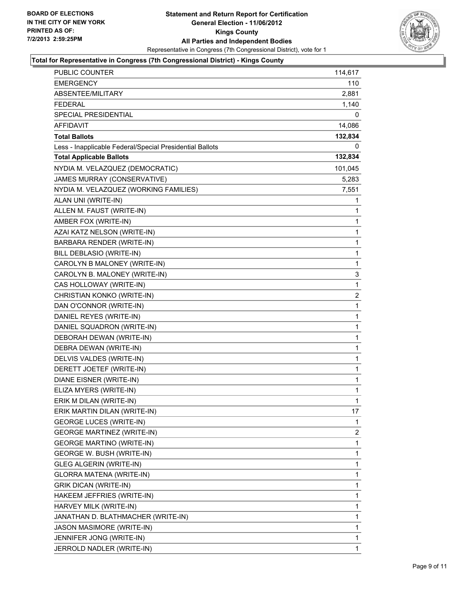

#### **Total for Representative in Congress (7th Congressional District) - Kings County**

| <b>PUBLIC COUNTER</b>                                    | 114,617  |
|----------------------------------------------------------|----------|
| <b>EMERGENCY</b>                                         | 110      |
| ABSENTEE/MILITARY                                        | 2,881    |
| <b>FEDERAL</b>                                           | 1,140    |
| <b>SPECIAL PRESIDENTIAL</b>                              | 0        |
| <b>AFFIDAVIT</b>                                         | 14,086   |
| <b>Total Ballots</b>                                     | 132,834  |
| Less - Inapplicable Federal/Special Presidential Ballots | $\Omega$ |
| <b>Total Applicable Ballots</b>                          | 132,834  |
| NYDIA M. VELAZQUEZ (DEMOCRATIC)                          | 101,045  |
| JAMES MURRAY (CONSERVATIVE)                              | 5,283    |
| NYDIA M. VELAZQUEZ (WORKING FAMILIES)                    | 7,551    |
| ALAN UNI (WRITE-IN)                                      | 1        |
| ALLEN M. FAUST (WRITE-IN)                                | 1        |
| AMBER FOX (WRITE-IN)                                     | 1        |
| AZAI KATZ NELSON (WRITE-IN)                              | 1        |
| BARBARA RENDER (WRITE-IN)                                | 1        |
| BILL DEBLASIO (WRITE-IN)                                 | 1        |
| CAROLYN B MALONEY (WRITE-IN)                             | 1        |
| CAROLYN B. MALONEY (WRITE-IN)                            | 3        |
| CAS HOLLOWAY (WRITE-IN)                                  | 1        |
| CHRISTIAN KONKO (WRITE-IN)                               | 2        |
| DAN O'CONNOR (WRITE-IN)                                  | 1        |
| DANIEL REYES (WRITE-IN)                                  | 1        |
| DANIEL SQUADRON (WRITE-IN)                               | 1        |
| DEBORAH DEWAN (WRITE-IN)                                 | 1        |
| DEBRA DEWAN (WRITE-IN)                                   | 1        |
| DELVIS VALDES (WRITE-IN)                                 | 1        |
| DERETT JOETEF (WRITE-IN)                                 | 1        |
| DIANE EISNER (WRITE-IN)                                  | 1        |
| ELIZA MYERS (WRITE-IN)                                   | 1        |
| ERIK M DILAN (WRITE-IN)                                  | 1        |
| ERIK MARTIN DILAN (WRITE-IN)                             | 17       |
| <b>GEORGE LUCES (WRITE-IN)</b>                           | 1        |
| <b>GEORGE MARTINEZ (WRITE-IN)</b>                        | 2        |
| GEORGE MARTINO (WRITE-IN)                                | 1        |
| GEORGE W. BUSH (WRITE-IN)                                | 1        |
| <b>GLEG ALGERIN (WRITE-IN)</b>                           | 1        |
| GLORRA MATENA (WRITE-IN)                                 | 1        |
| <b>GRIK DICAN (WRITE-IN)</b>                             | 1        |
| HAKEEM JEFFRIES (WRITE-IN)                               | 1        |
| HARVEY MILK (WRITE-IN)                                   | 1        |
| JANATHAN D. BLATHMACHER (WRITE-IN)                       | 1        |
| JASON MASIMORE (WRITE-IN)                                | 1        |
| JENNIFER JONG (WRITE-IN)                                 | 1        |
| JERROLD NADLER (WRITE-IN)                                | 1        |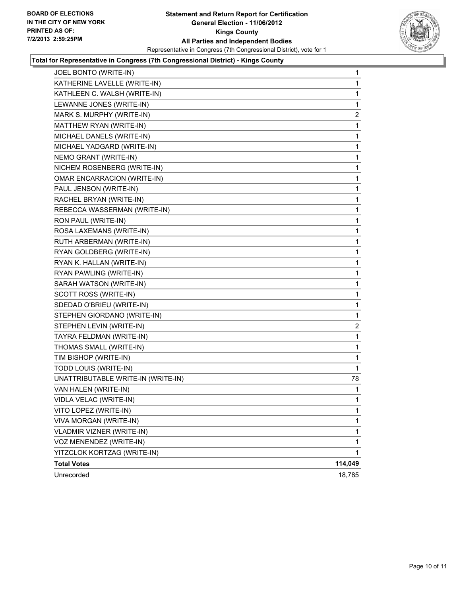

#### **Total for Representative in Congress (7th Congressional District) - Kings County**

| JOEL BONTO (WRITE-IN)              | 1              |
|------------------------------------|----------------|
| KATHERINE LAVELLE (WRITE-IN)       | 1              |
| KATHLEEN C. WALSH (WRITE-IN)       | 1              |
| LEWANNE JONES (WRITE-IN)           | 1              |
| MARK S. MURPHY (WRITE-IN)          | $\overline{2}$ |
| MATTHEW RYAN (WRITE-IN)            | 1              |
| MICHAEL DANELS (WRITE-IN)          | 1              |
| MICHAEL YADGARD (WRITE-IN)         | 1              |
| NEMO GRANT (WRITE-IN)              | 1              |
| NICHEM ROSENBERG (WRITE-IN)        | 1              |
| <b>OMAR ENCARRACION (WRITE-IN)</b> | 1              |
| PAUL JENSON (WRITE-IN)             | 1              |
| RACHEL BRYAN (WRITE-IN)            | 1              |
| REBECCA WASSERMAN (WRITE-IN)       | 1              |
| RON PAUL (WRITE-IN)                | 1              |
| ROSA LAXEMANS (WRITE-IN)           | 1              |
| RUTH ARBERMAN (WRITE-IN)           | 1              |
| RYAN GOLDBERG (WRITE-IN)           | 1              |
| RYAN K. HALLAN (WRITE-IN)          | 1              |
| RYAN PAWLING (WRITE-IN)            | 1              |
| SARAH WATSON (WRITE-IN)            | 1              |
| SCOTT ROSS (WRITE-IN)              | 1              |
| SDEDAD O'BRIEU (WRITE-IN)          | 1              |
| STEPHEN GIORDANO (WRITE-IN)        | 1              |
| STEPHEN LEVIN (WRITE-IN)           | 2              |
| TAYRA FELDMAN (WRITE-IN)           | 1              |
| THOMAS SMALL (WRITE-IN)            | 1              |
| TIM BISHOP (WRITE-IN)              | 1              |
| TODD LOUIS (WRITE-IN)              | 1              |
| UNATTRIBUTABLE WRITE-IN (WRITE-IN) | 78             |
| VAN HALEN (WRITE-IN)               | 1              |
| VIDLA VELAC (WRITE-IN)             | 1              |
| VITO LOPEZ (WRITE-IN)              | 1              |
| VIVA MORGAN (WRITE-IN)             | 1              |
| VLADMIR VIZNER (WRITE-IN)          | 1              |
| VOZ MENENDEZ (WRITE-IN)            | $\mathbf{1}$   |
| YITZCLOK KORTZAG (WRITE-IN)        | $\mathbf{1}$   |
| <b>Total Votes</b>                 | 114,049        |
| Unrecorded                         | 18,785         |